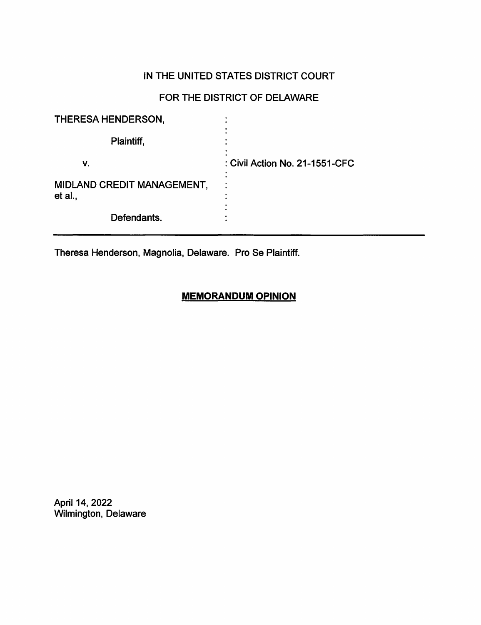# IN THE UNITED STATES DISTRICT COURT

# FOR THE DISTRICT OF DELAWARE

| THERESA HENDERSON,                    |                                |
|---------------------------------------|--------------------------------|
| Plaintiff,                            |                                |
| ۷.                                    | : Civil Action No. 21-1551-CFC |
| MIDLAND CREDIT MANAGEMENT,<br>et al., | ٠                              |
| Defendants.                           |                                |

Theresa Henderson, Magnolia, Delaware. Pro Se Plaintiff.

## **MEMORANDUM OPINION**

April 14, 2022 Wilmington, Delaware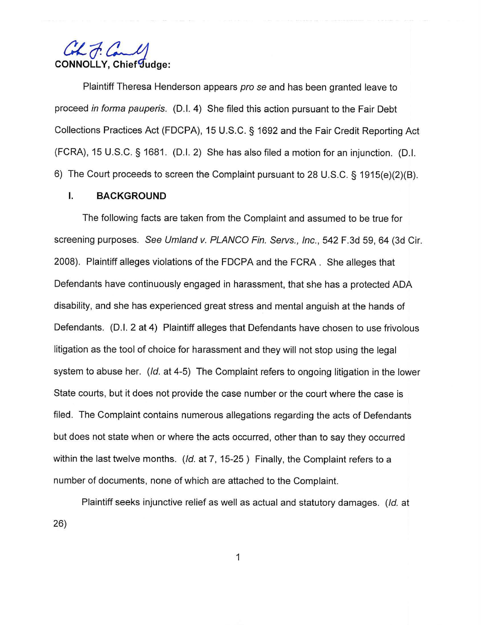Commo<u>lly</u>, Commonly

Plaintiff Theresa Henderson appears pro se and has been granted leave to proceed in forma pauperis. (D.I. 4) She filed this action pursuant to the Fair Debt Collections Practices Act (FDCPA), 15 U.S.C. § 1692 and the Fair Credit Reporting Act (FCRA), 15 U.S.C. § 1681. (D.I. 2) She has also filed a motion for an injunction. (D.I. 6) The Court proceeds to screen the Complaint pursuant to 28 U.S.C. § 1915(e)(2)(B).

#### I. **BACKGROUND**

The following facts are taken from the Complaint and assumed to be true for screening purposes. See Umland v. PLANCO Fin. Servs., Inc., 542 F.3d 59, 64 (3d Cir. 2008). Plaintiff alleges violations of the FDCPA and the FCRA. She alleges that Defendants have continuously engaged in harassment, that she has a protected ADA disability, and she has experienced great stress and mental anguish at the hands of Defendants. (0.1. 2 at 4) Plaintiff alleges that Defendants have chosen to use frivolous litigation as the tool of choice for harassment and they will not stop using the legal system to abuse her. (Id. at 4-5) The Complaint refers to ongoing litigation in the lower State courts, but it does not provide the case number or the court where the case is filed. The Complaint contains numerous allegations regarding the acts of Defendants but does not state when or where the acts occurred, other than to say they occurred within the last twelve months.  $(d, at 7, 15-25)$  Finally, the Complaint refers to a number of documents, none of which are attached to the Complaint.

Plaintiff seeks injunctive relief as well as actual and statutory damages. (Id. at 26)

1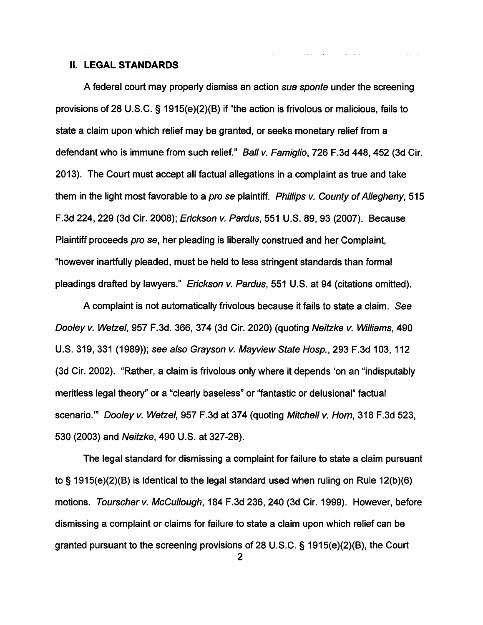#### II. **LEGAL STANDARDS**

A federal court may properly dismiss an action sua sponte under the screening provisions of 28 U.S.C. § 1915(e)(2)(B) if "the action is frivolous or malicious, fails to state a claim upon which relief may be granted, or seeks monetary relief from a defendant who is immune from such relief." Ball v. Famiglio, 726 F.3d 448, 452 (3d Cir. 2013). The Court must accept all factual allegations in a complaint as true and take them in the light most favorable to a pro se plaintiff. Phillips v. County of Allegheny, 515 F.3d 224, 229 (3d Cir. 2008); Erickson v. Pardus, 551 U.S. 89, 93 (2007). Because Plaintiff proceeds pro se, her pleading is liberally construed and her Complaint, "however inartfully pleaded, must be held to less stringent standards than formal pleadings drafted by lawyers." Erickson v. Pardus, 551 U.S. at 94 (citations omitted).

A complaint is not automatically frivolous because it fails to state a claim. See Dooley v. Wetzel, 957 F.3d. 366, 374 (3d Cir. 2020) (quoting Neitzke v. Williams, 490 U.S. 319, 331 (1989)); see also Grayson v. Mayview State Hosp., 293 F.3d 103, 112 (3d Cir. 2002). "Rather, a claim is frivolous only where it depends 'on an "indisputably meritless legal theory" or a "clearly baseless" or "fantastic or delusional" factual scenario."' Dooley v. Wetzel, 957 F.3d at 374 (quoting Mitchell v. Hom, 318 F.3d 523, 530 (2003) and Neitzke, 490 U.S. at 327-28).

The legal standard for dismissing a complaint for failure to state a claim pursuant to§ 1915(e)(2)(B) is identical to the legal standard used when ruling on Rule 12(b)(6) motions. Tourscher v. McCullough, 184 F.3d 236, 240 (3d Cir. 1999). However, before dismissing a complaint or claims for failure to state a claim upon which relief can be granted pursuant to the screening provisions of 28 U.S.C. § 1915(e)(2)(B), the Court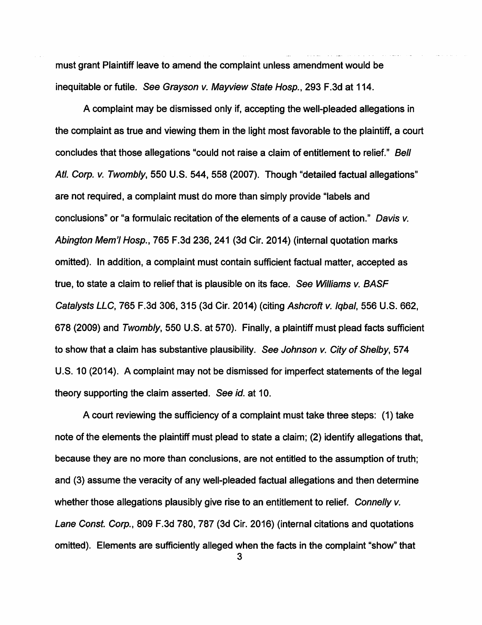must grant Plaintiff leave to amend the complaint unless amendment would be inequitable or futile. See Grayson v. Mayview State Hosp., 293 F.3d at 114.

A complaint may be dismissed only if, accepting the well-pleaded allegations in the complaint as true and viewing them in the light most favorable to the plaintiff, a court concludes that those allegations "could not raise a claim of entitlement to relief." Bell Atl. Corp. v. Twombly, 550 U.S. 544, 558 (2007). Though "detailed factual allegations" are not required, a complaint must do more than simply provide "labels and conclusions" or "a formulaic recitation of the elements of a cause of action." Davis v. Abington Mem'I Hosp., 765 F.3d 236, 241 (3d Cir. 2014) (internal quotation marks omitted). In addition, a complaint must contain sufficient factual matter, accepted as true, to state a claim to relief that is plausible on its face. See Williams v. BASF Catalysts LLC, 765 F.3d 306, 315 (3d Cir. 2014) (citing Ashcroft v. Iqbal, 556 U.S. 662, 678 (2009) and Twombly, 550 U.S. at 570). Finally, a plaintiff must plead facts sufficient to show that a claim has substantive plausibility. See Johnson v. City of Shelby, 574 U.S. 10 (2014). A complaint may not be dismissed for imperfect statements of the legal theory supporting the claim asserted. See id. at 10.

A court reviewing the sufficiency of a complaint must take three steps: (1) take note of the elements the plaintiff must plead to state a claim; (2) identify allegations that, because they are no more than conclusions, are not entitled to the assumption of truth; and (3) assume the veracity of any well-pleaded factual allegations and then determine whether those allegations plausibly give rise to an entitlement to relief. Connelly v. Lane Const. Corp., 809 F.3d 780, 787 (3d Cir. 2016) (internal citations and quotations omitted). Elements are sufficiently alleged when the facts in the complaint "show" that

3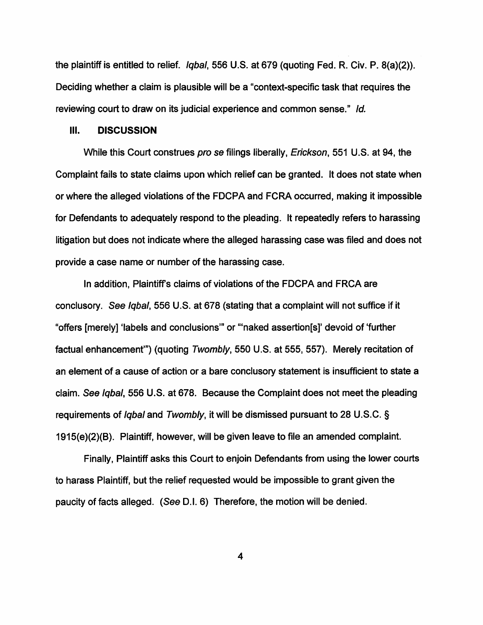the plaintiff is entitled to relief. Iqbal, 556 U.S. at 679 (quoting Fed. R. Civ. P. 8(a}(2)). Deciding whether a claim is plausible will be a "context-specific task that requires the reviewing court to draw on its judicial experience and common sense." Id.

#### Ill. **DISCUSSION**

While this Court construes pro se filings liberally, Erickson, 551 U.S. at 94, the Complaint fails to state claims upon which relief can be granted. It does not state when or where the alleged violations of the FDCPA and FCRA occurred, making it impossible for Defendants to adequately respond to the pleading. It repeatedly refers to harassing litigation but does not indicate where the alleged harassing case was filed and does not provide a case name or number of the harassing case.

In addition, Plaintiff's claims of violations of the FDCPA and FRCA are conclusory. See Iqbal, 556 U.S. at 678 (stating that a complaint will not suffice if it "offers [merely] 'labels and conclusions"' or "'naked assertion[s]' devoid of 'further factual enhancement"") (quoting Twombly, 550 U.S. at 555, 557). Merely recitation of an element of a cause of action or a bare conclusory statement is insufficient to state a claim. See Iqbal, 556 U.S. at 678. Because the Complaint does not meet the pleading requirements of Iqbal and Twombly, it will be dismissed pursuant to 28 U.S.C. § 1915(e}(2}(8}. Plaintiff, however, will be given leave to file an amended complaint.

Finally, Plaintiff asks this Court to enjoin Defendants from using the lower courts to harass Plaintiff, but the relief requested would be impossible to grant given the paucity of facts alleged. (See D.I. 6) Therefore, the motion will be denied.

4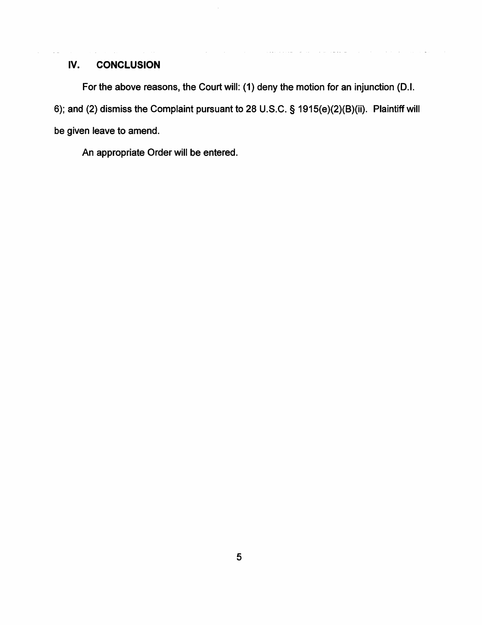## **IV. CONCLUSION**

For the above reasons, the Court will: (1) deny the motion for an injunction {D.I. 6); and (2) dismiss the Complaint pursuant to 28 U.S.C. § 1915{e){2){B){ii). Plaintiff will be given leave to amend.

n.

An appropriate Order will be entered.